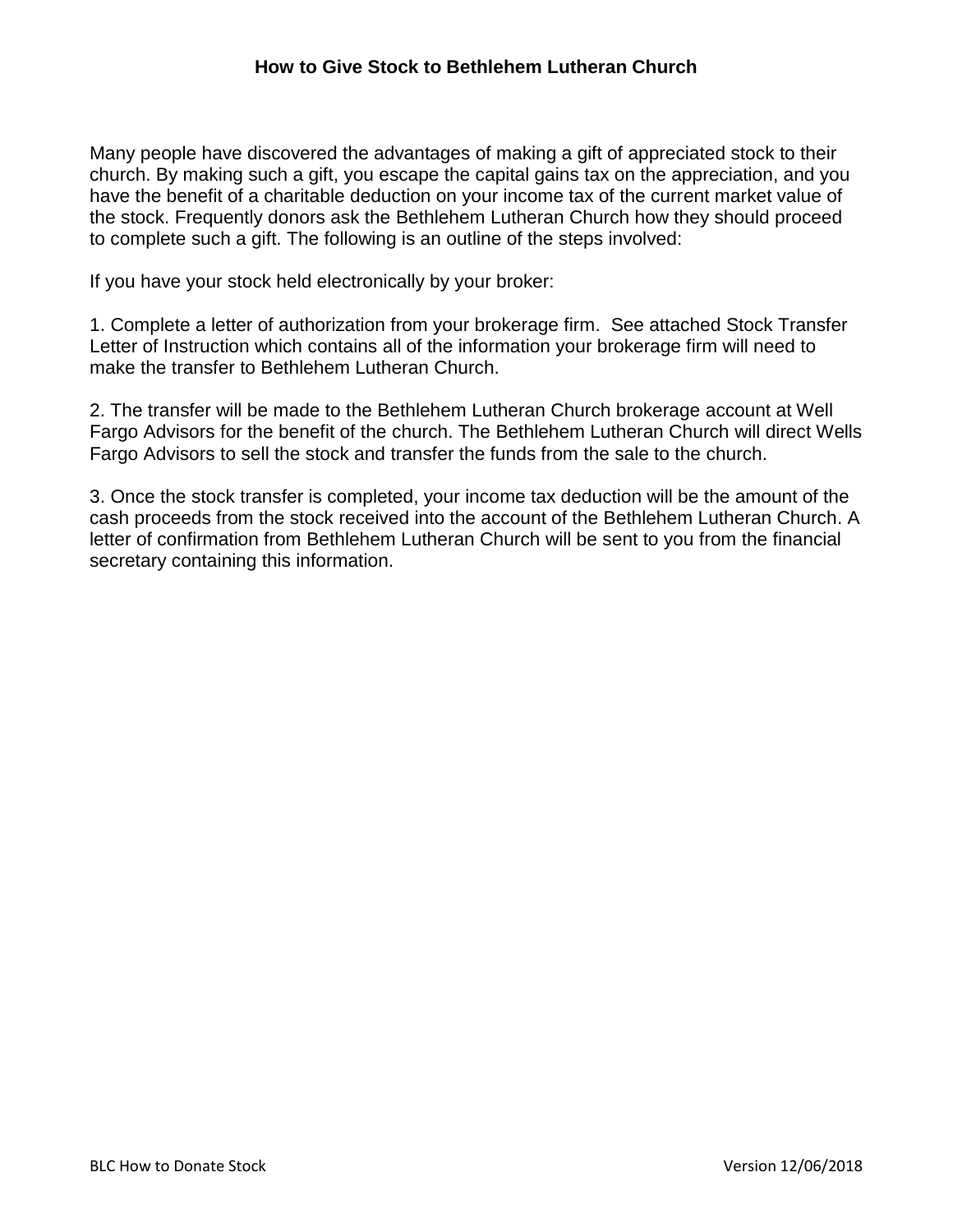Many people have discovered the advantages of making a gift of appreciated stock to their church. By making such a gift, you escape the capital gains tax on the appreciation, and you have the benefit of a charitable deduction on your income tax of the current market value of the stock. Frequently donors ask the Bethlehem Lutheran Church how they should proceed to complete such a gift. The following is an outline of the steps involved:

If you have your stock held electronically by your broker:

1. Complete a letter of authorization from your brokerage firm. See attached Stock Transfer Letter of Instruction which contains all of the information your brokerage firm will need to make the transfer to Bethlehem Lutheran Church.

2. The transfer will be made to the Bethlehem Lutheran Church brokerage account at Well Fargo Advisors for the benefit of the church. The Bethlehem Lutheran Church will direct Wells Fargo Advisors to sell the stock and transfer the funds from the sale to the church.

3. Once the stock transfer is completed, your income tax deduction will be the amount of the cash proceeds from the stock received into the account of the Bethlehem Lutheran Church. A letter of confirmation from Bethlehem Lutheran Church will be sent to you from the financial secretary containing this information.